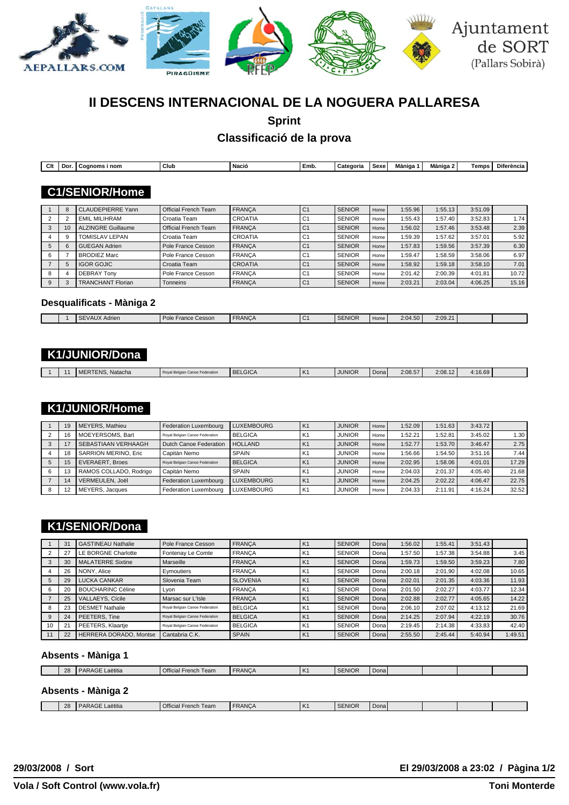

# **II DESCENS INTERNACIONAL DE LA NOGUERA PALLARESA**

**Sprint**

# **Classificació de la prova**

| Clt | Do | ` nom<br>Coanoms | Club | <sup>1</sup> Nació | Emb. | `ategoria | Sexe | $- - -$<br>Màniga | Màniga 2 | <b>Temps</b> | Diferència |
|-----|----|------------------|------|--------------------|------|-----------|------|-------------------|----------|--------------|------------|
|     |    |                  |      |                    |      |           |      |                   |          |              |            |

### **C1/SENIOR/Home**

|    | <b>CLAUDEPIERRE Yann</b>  | <b>Official French Team</b> | <b>FRANCA</b>  | C <sub>1</sub> | <b>SENIOR</b> | Home | 1:55.96 | 1:55.13 | 3:51.09 |       |
|----|---------------------------|-----------------------------|----------------|----------------|---------------|------|---------|---------|---------|-------|
|    | EMIL MILIHRAM             | Croatia Team                | <b>CROATIA</b> | С              | <b>SENIOR</b> | Home | 1:55.43 | 1:57.40 | 3:52.83 | 1.74  |
| 10 | <b>ALZINGRE Guillaume</b> | <b>Official French Team</b> | <b>FRANCA</b>  | C <sub>1</sub> | <b>SENIOR</b> | Home | 1:56.02 | 1:57.46 | 3:53.48 | 2.39  |
|    | TOMISLAV LEPAN            | Croatia Team                | <b>CROATIA</b> | C <sup>4</sup> | <b>SENIOR</b> | Home | 1:59.39 | 1:57.62 | 3:57.01 | 5.92  |
|    | <b>GUEGAN Adrien</b>      | Pole France Cesson          | <b>FRANCA</b>  | C <sub>1</sub> | <b>SENIOR</b> | Home | 1:57.83 | 1:59.56 | 3:57.39 | 6.30  |
|    | <b>BRODIEZ Marc</b>       | Pole France Cesson          | <b>FRANCA</b>  | С              | <b>SENIOR</b> | Home | 1:59.47 | 1:58.59 | 3:58.06 | 6.97  |
|    | <b>IGOR GOJIC</b>         | Croatia Team                | <b>CROATIA</b> | C <sub>1</sub> | <b>SENIOR</b> | Home | 1:58.92 | 1:59.18 | 3:58.10 | 7.01  |
|    | <b>DEBRAY Tony</b>        | Pole France Cesson          | <b>FRANCA</b>  | C <sup>1</sup> | <b>SENIOR</b> | Home | 2:01.42 | 2:00.39 | 4:01.81 | 10.72 |
|    | <b>TRANCHANT Florian</b>  | Tonneins                    | <b>FRANCA</b>  | C <sub>1</sub> | <b>SENIOR</b> | Home | 2:03.21 | 2:03.04 | 4:06.25 | 15.16 |

### **Desqualificats - Màniga 2**

| <b>SENIOR</b><br><b>FRANCA</b><br>2:09.21<br>$I$ Pole<br>$\sim$<br>$\sim$<br>2:04.50<br>France Cesson<br>Home<br>Adrier<br>$\cdot$<br>_____ |  |  |  |  |  |  |
|---------------------------------------------------------------------------------------------------------------------------------------------|--|--|--|--|--|--|
|                                                                                                                                             |  |  |  |  |  |  |

# **K1/JUNIOR/Dona**

|  |  |  | ERTENS.<br>Natacha<br>I MI | Roval.<br>al Belgian Canoe Federation | <b>BELGICA</b> | Iĸ. | JUNIOR | Donal | 2:08.57 | 2:08.12 | 1:16.69 |  |
|--|--|--|----------------------------|---------------------------------------|----------------|-----|--------|-------|---------|---------|---------|--|
|--|--|--|----------------------------|---------------------------------------|----------------|-----|--------|-------|---------|---------|---------|--|

# **K1/JUNIOR/Home**

| 19 | MEYERS, Mathieu             | Federation Luxembourg          | <b>LUXEMBOURG</b> | ١K             | <b>JUNIOR</b> | Home | 1:52.09 | 1:51.63 | 3:43.72 |       |
|----|-----------------------------|--------------------------------|-------------------|----------------|---------------|------|---------|---------|---------|-------|
| 16 | MOEYERSOMS, Bart            | Roval Belgian Canoe Federation | <b>BELGICA</b>    | K              | <b>JUNIOR</b> | Home | 1:52.21 | 1:52.81 | 3:45.02 | 1.30  |
|    | SEBASTIAAN VERHAAGH         | Dutch Canoe Federation         | <b>HOLLAND</b>    | K1             | <b>JUNIOR</b> | Home | 1:52.77 | 1:53.70 | 3:46.47 | 2.75  |
| 18 | <b>SARRION MERINO, Eric</b> | Capitán Nemo                   | <b>SPAIN</b>      | K.             | <b>JUNIOR</b> | Home | 1:56.66 | 1:54.50 | 3:51.16 | 7.44  |
| 15 | <b>EVERAERT, Broes</b>      | Royal Belgian Canoe Federation | <b>BELGICA</b>    | K <sub>1</sub> | <b>JUNIOR</b> | Home | 2:02.95 | 1:58.06 | 4:01.01 | 17.29 |
|    | RAMOS COLLADO, Rodrigo      | Capitán Nemo                   | <b>SPAIN</b>      | K              | <b>JUNIOR</b> | Home | 2:04.03 | 2:01.37 | 4:05.40 | 21.68 |
|    | VERMEULEN, Joël             | Federation Luxembourg          | <b>LUXEMBOURG</b> | K1             | <b>JUNIOR</b> | Home | 2:04.25 | 2:02.22 | 4:06.47 | 22.75 |
|    | MEYERS, Jacques             | Federation Luxembourg          | <b>LUXEMBOURG</b> | K              | <b>JUNIOR</b> | Home | 2:04.33 | 2:11.91 | 4:16.24 | 32.52 |

# **K1/SENIOR/Dona**

|    | 31 | <b>GASTINEAU Nathalie</b> | Pole France Cesson             | <b>FRANCA</b>   | K1             | <b>SENIOR</b> | Donal | 1:56.02 | 1:55.41 | 3:51.43 |         |
|----|----|---------------------------|--------------------------------|-----------------|----------------|---------------|-------|---------|---------|---------|---------|
|    | 27 | LE BORGNE Charlotte       | Fontenay Le Comte              | <b>FRANCA</b>   | K1             | <b>SENIOR</b> | Dona  | 1:57.50 | 1:57.38 | 3:54.88 | 3.45    |
|    | 30 | <b>MALATERRE Sixtine</b>  | Marseille                      | <b>FRANCA</b>   | K1             | <b>SENIOR</b> | Dona  | 1:59.73 | 1:59.50 | 3:59.23 | 7.80    |
|    | 26 | NONY, Alice               | Evmoutiers                     | <b>FRANCA</b>   | K <sub>1</sub> | <b>SENIOR</b> | Dona  | 2:00.18 | 2:01.90 | 4:02.08 | 10.65   |
|    | 29 | <b>LUCKA CANKAR</b>       | Slovenia Team                  | <b>SLOVENIA</b> | K <sub>1</sub> | <b>SENIOR</b> | Donal | 2:02.01 | 2:01.35 | 4:03.36 | 11.93   |
|    | 20 | <b>BOUCHARINC Céline</b>  | Lyon                           | <b>FRANCA</b>   | K1             | <b>SENIOR</b> | Dona  | 2:01.50 | 2:02.27 | 4:03.77 | 12.34   |
|    | 25 | VALLAEYS, Cícile          | Marsac sur L'Isle              | <b>FRANCA</b>   | K <sub>1</sub> | <b>SENIOR</b> | Donal | 2:02.88 | 2:02.77 | 4:05.65 | 14.22   |
|    | 23 | <b>DESMET Nathalie</b>    | Roval Belgian Canoe Federation | <b>BELGICA</b>  | K <sub>1</sub> | <b>SENIOR</b> | Dona  | 2:06.10 | 2:07.02 | 4:13.12 | 21.69   |
|    | 24 | PEETERS. Tine             | Royal Belgian Canoe Federation | <b>BELGICA</b>  | K1             | <b>SENIOR</b> | Dona  | 2:14.25 | 2:07.94 | 4:22.19 | 30.76   |
| 10 | 21 | PEETERS, Klaartje         | Roval Belgian Canoe Federation | <b>BELGICA</b>  | K1             | <b>SENIOR</b> | Dona  | 2:19.45 | 2:14.38 | 4:33.83 | 42.40   |
|    | 22 | HERRERA DORADO, Montse    | Cantabria C.K.                 | <b>SPAIN</b>    | K <sub>1</sub> | <b>SENIOR</b> | Donal | 2:55.50 | 2:45.44 | 5:40.94 | 1:49.51 |

#### **Absents - Màniga 1**

| $\Omega$<br>20 | $-$<br>I DARAGE<br>∟aëtitia | <b>Official French</b><br>Team | <b>FRANCA</b> | $\mathbf{L}$<br>IN. | <b>SENIOR</b> | Donal |  |  |
|----------------|-----------------------------|--------------------------------|---------------|---------------------|---------------|-------|--|--|
|                |                             |                                |               |                     |               |       |  |  |

### **Absents - Màniga 2**

| ንՋ<br>$\epsilon$ | $\cdots$<br>11.11.1<br>D <sub>A</sub><br>Laëtitia<br>AR. | <b>Official French</b><br>Team | <b>FRANCA</b> | ΙK | <b>SENIOR</b> | Donal |  |  |
|------------------|----------------------------------------------------------|--------------------------------|---------------|----|---------------|-------|--|--|